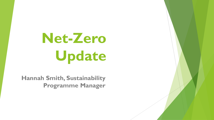# **Net-Zero Update**

**Hannah Smith, Sustainability Programme Manager**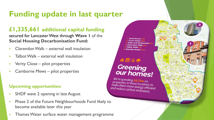# **Funding update in last quarter**

### **£1,335,661 additional capital funding**

secured for Lancaster West through **Wave 1** of the **Social Housing Decarbonisation Fund:**

- **Clarendon Walk external wall insulation**
- $\blacksquare$  Talbot Walk external wall insulation
- **Verity Close pilot properties**
- **Camborne Mews pilot properties**

### **Upcoming opportunities:**

- **SHDF wave 2 opening in late August**
- **Phase 2 of the Future Neighbourhoods Fund likely to** become available later this year
- **Thames Water surface water management programme**



# $A H Q \phi$ Greening<br>our homes!

We're spending £4.75m on<br>*properties in these locations to*<br>make them more energy to *Properues in these locations to*<br>make them more energy efficient<br>and reduce carbon emissi and reduce carbon emissions.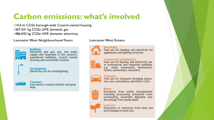# **Carbon emissions: what's involved**

•14.6 kt CO2e borough-wide Council-owned housing **-367,541 kg CO2e LWE domestic gas =486,042 kg CO2e LWE domestic electricity** 

#### **Lancaster West Neighbourhood Team:**



### **Buildings** Electricity and gas use, and water

supply and treatment in the council's operational buildings, council owned housing and community schools.

**Streetlighting** Electricity use for streetlighting.



#### **Transport**

Fuel used in council vehicles and grey fleet.

#### **Lancaster West Estate:**



**Residential** Fuel use for heating and electricity for appliances and lighting in homes.

#### **Commercial and industrial**



Fuel use for heating and electricity use in commercial and industrial buildings e.g. retail, restaurants, businesses, hotels, universities, museums.



#### **Transport**

Fuel use for transport including buses, rail, cars, motorbikes and HGVs, LGVs.

#### Waste



Emissions from waste management including processing emissions from composting, anaerobic digestion and the energy from waste plant.

#### Land use

Emissions or removals from land use and changes in land use.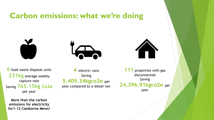### **Carbon emissions: what we're doing**





**4** electric vans

Saving

**5,409.34kgco2e** per

year compared to a diesel van

**6** food waste disposal units **231kg** average weekly capture rate Saving **765.15kg Co2e** per year

**More than the carbon emissions for electricity for1-12 Camborne Mews!**

**111** properties with gas disconnected Saving **24,396.91kgco2e** per year